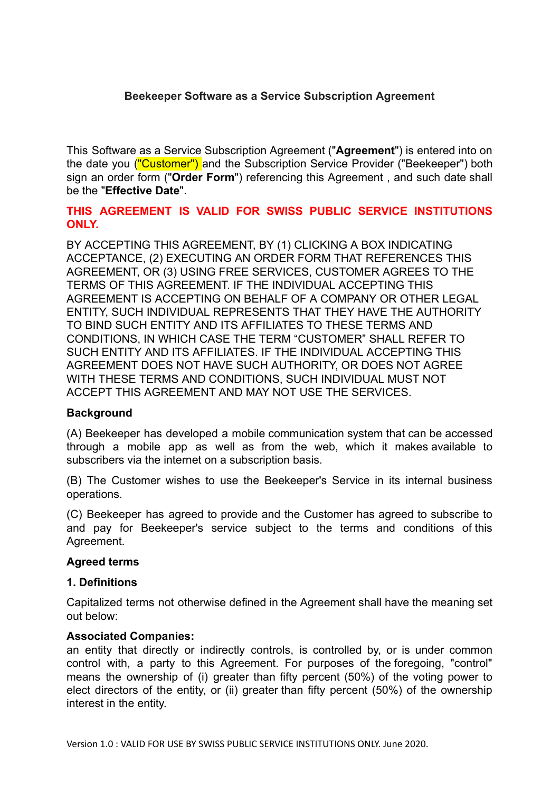### **Beekeeper Software as a Service Subscription Agreement**

This Software as a Service Subscription Agreement (" **Agreement** ") is entered into on the date you ("Customer") and the Subscription Service Provider ("Beekeeper") both sign an order form (" **Order Form** ") referencing this Agreement , and such date shall be the " **Effective Date** ".

### **THIS AGREEMENT IS VALID FOR SWISS PUBLIC SERVICE INSTITUTIONS ONLY.**

BY ACCEPTING THIS AGREEMENT, BY (1) CLICKING A BOX INDICATING ACCEPTANCE, (2) EXECUTING AN ORDER FORM THAT REFERENCES THIS AGREEMENT, OR (3) USING FREE SERVICES, CUSTOMER AGREES TO THE TERMS OF THIS AGREEMENT. IF THE INDIVIDUAL ACCEPTING THIS AGREEMENT IS ACCEPTING ON BEHALF OF A COMPANY OR OTHER LEGAL ENTITY, SUCH INDIVIDUAL REPRESENTS THAT THEY HAVE THE AUTHORITY TO BIND SUCH ENTITY AND ITS AFFILIATES TO THESE TERMS AND CONDITIONS, IN WHICH CASE THE TERM "CUSTOMER" SHALL REFER TO SUCH ENTITY AND ITS AFFILIATES. IF THE INDIVIDUAL ACCEPTING THIS AGREEMENT DOES NOT HAVE SUCH AUTHORITY, OR DOES NOT AGREE WITH THESE TERMS AND CONDITIONS, SUCH INDIVIDUAL MUST NOT ACCEPT THIS AGREEMENT AND MAY NOT USE THE SERVICES.

#### **Background**

(A) Beekeeper has developed a mobile communication system that can be accessed through a mobile app as well as from the web, which it makes available to subscribers via the internet on a subscription basis.

(B) The Customer wishes to use the Beekeeper's Service in its internal business operations.

(C) Beekeeper has agreed to provide and the Customer has agreed to subscribe to and pay for Beekeeper's service subject to the terms and conditions of this Agreement.

#### **Agreed terms**

#### **1. Definitions**

Capitalized terms not otherwise defined in the Agreement shall have the meaning set out below:

#### **Associated Companies:**

an entity that directly or indirectly controls, is controlled by, or is under common control with, a party to this Agreement. For purposes of the foregoing, "control" means the ownership of (i) greater than fifty percent (50%) of the voting power to elect directors of the entity, or (ii) greater than fifty percent (50%) of the ownership interest in the entity.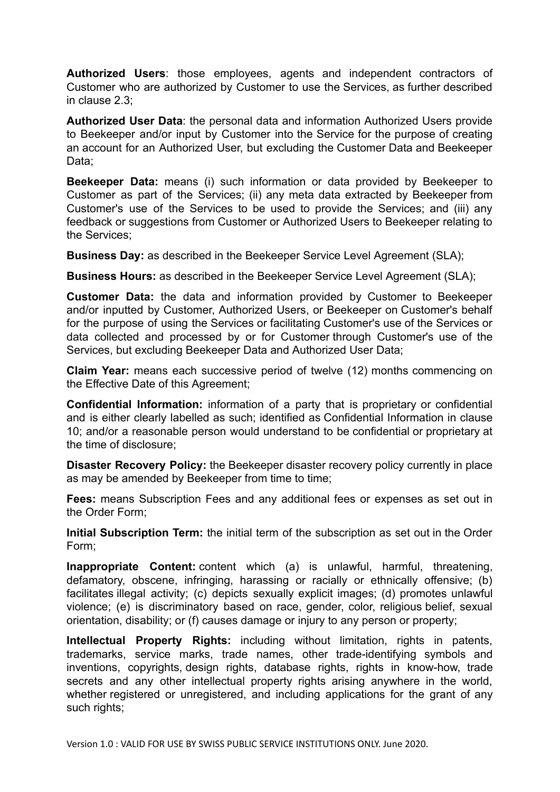Authorized Users: those employees, agents and independent contractors of Customer who are authorized by Customer to use the Services, as further described in clause 2.3;

**Authorized User Data:** the personal data and information Authorized Users provide to Beekeeper and/or input by Customer into the Service for the purpose of creating an account for an Authorized User, but excluding the Customer Data and Beekeeper Data;

**Beekeeper Data:** means (i) such information or data provided by Beekeeper to Customer as part of the Services; (ii) any meta data extracted by Beekeeper from Customer's use of the Services to be used to provide the Services; and (iii) any feedback or suggestions from Customer or Authorized Users to Beekeeper relating to the Services;

**Business Day:** as described in the Beekeeper Service Level Agreement (SLA);

**Business Hours:** as described in the Beekeeper Service Level Agreement (SLA);

**Customer Data:** the data and information provided by Customer to Beekeeper and/or inputted by Customer, Authorized Users, or Beekeeper on Customer's behalf for the purpose of using the Services or facilitating Customer's use of the Services or data collected and processed by or for Customer through Customer's use of the Services, but excluding Beekeeper Data and Authorized User Data;

**Claim Year:** means each successive period of twelve (12) months commencing on the Effective Date of this Agreement;

**Confidential Information:** information of a party that is proprietary or confidential and is either clearly labelled as such; identified as Confidential Information in clause 10; and/or a reasonable person would understand to be confidential or proprietary at the time of disclosure;

**Disaster Recovery Policy:** the Beekeeper disaster recovery policy currently in place as may be amended by Beekeeper from time to time;

**Fees:** means Subscription Fees and any additional fees or expenses as set out in the Order Form;

**Initial Subscription Term:** the initial term of the subscription as set out in the Order Form;

**Inappropriate Content:** content which (a) is unlawful, harmful, threatening, defamatory, obscene, infringing, harassing or racially or ethnically offensive; (b) facilitates illegal activity; (c) depicts sexually explicit images; (d) promotes unlawful violence; (e) is discriminatory based on race, gender, color, religious belief, sexual orientation, disability; or (f) causes damage or injury to any person or property;

**Intellectual Property Rights:** including without limitation, rights in patents, trademarks, service marks, trade names, other trade-identifying symbols and inventions, copyrights, design rights, database rights, rights in know-how, trade secrets and any other intellectual property rights arising anywhere in the world, whether registered or unregistered, and including applications for the grant of any such rights;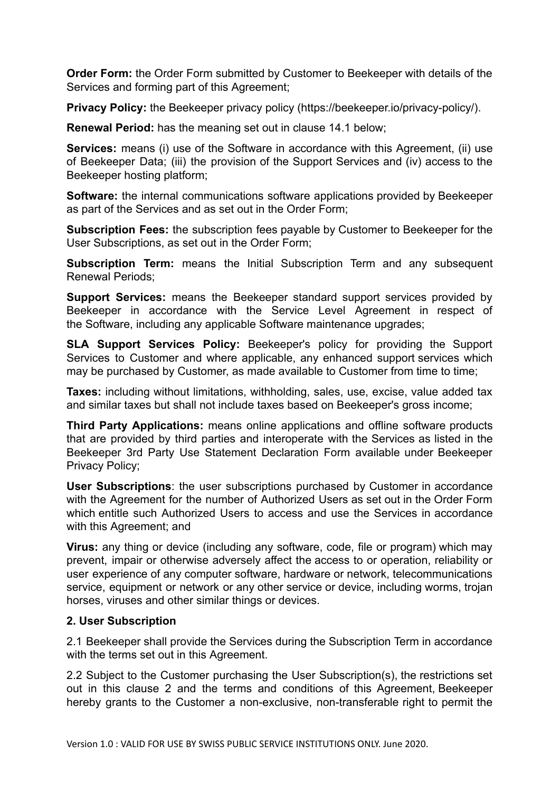**Order Form:** the Order Form submitted by Customer to Beekeeper with details of the Services and forming part of this Agreement;

**Privacy Policy:** the Beekeeper privacy policy (https://beekeeper.io/privacy-policy/).

**Renewal Period:** has the meaning set out in clause 14.1 below;

**Services:** means (i) use of the Software in accordance with this Agreement, (ii) use of Beekeeper Data; (iii) the provision of the Support Services and (iv) access to the Beekeeper hosting platform;

**Software:** the internal communications software applications provided by Beekeeper as part of the Services and as set out in the Order Form;

**Subscription Fees:** the subscription fees payable by Customer to Beekeeper for the User Subscriptions, as set out in the Order Form;

**Subscription Term:** means the Initial Subscription Term and any subsequent Renewal Periods;

**Support Services:** means the Beekeeper standard support services provided by Beekeeper in accordance with the Service Level Agreement in respect of the Software, including any applicable Software maintenance upgrades;

**SLA Support Services Policy:** Beekeeper's policy for providing the Support Services to Customer and where applicable, any enhanced support services which may be purchased by Customer, as made available to Customer from time to time;

**Taxes:** including without limitations, withholding, sales, use, excise, value added tax and similar taxes but shall not include taxes based on Beekeeper's gross income;

**Third Party Applications:** means online applications and offline software products that are provided by third parties and interoperate with the Services as listed in the Beekeeper 3rd Party Use Statement Declaration Form available under Beekeeper Privacy Policy;

**User Subscriptions:** the user subscriptions purchased by Customer in accordance with the Agreement for the number of Authorized Users as set out in the Order Form which entitle such Authorized Users to access and use the Services in accordance with this Agreement; and

**Virus:** any thing or device (including any software, code, file or program) which may prevent, impair or otherwise adversely affect the access to or operation, reliability or user experience of any computer software, hardware or network, telecommunications service, equipment or network or any other service or device, including worms, trojan horses, viruses and other similar things or devices.

### **2. User Subscription**

2.1 Beekeeper shall provide the Services during the Subscription Term in accordance with the terms set out in this Agreement.

2.2 Subject to the Customer purchasing the User Subscription(s), the restrictions set out in this clause 2 and the terms and conditions of this Agreement, Beekeeper hereby grants to the Customer a non-exclusive, non-transferable right to permit the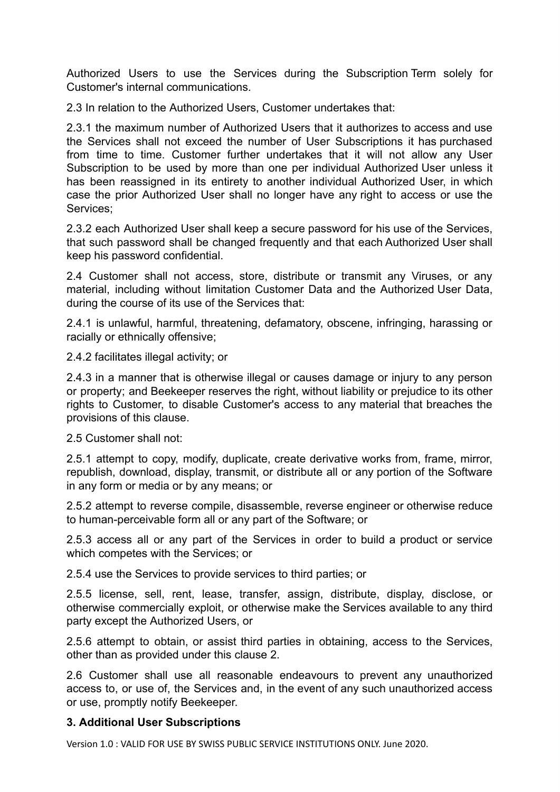Authorized Users to use the Services during the Subscription Term solely for Customer's internal communications.

2.3 In relation to the Authorized Users, Customer undertakes that:

2.3.1 the maximum number of Authorized Users that it authorizes to access and use the Services shall not exceed the number of User Subscriptions it has purchased from time to time. Customer further undertakes that it will not allow any User Subscription to be used by more than one per individual Authorized User unless it has been reassigned in its entirety to another individual Authorized User, in which case the prior Authorized User shall no longer have any right to access or use the Services;

2.3.2 each Authorized User shall keep a secure password for his use of the Services, that such password shall be changed frequently and that each Authorized User shall keep his password confidential.

2.4 Customer shall not access, store, distribute or transmit any Viruses, or any material, including without limitation Customer Data and the Authorized User Data, during the course of its use of the Services that:

2.4.1 is unlawful, harmful, threatening, defamatory, obscene, infringing, harassing or racially or ethnically offensive;

2.4.2 facilitates illegal activity; or

2.4.3 in a manner that is otherwise illegal or causes damage or injury to any person or property; and Beekeeper reserves the right, without liability or prejudice to its other rights to Customer, to disable Customer's access to any material that breaches the provisions of this clause.

2.5 Customer shall not:

2.5.1 attempt to copy, modify, duplicate, create derivative works from, frame, mirror, republish, download, display, transmit, or distribute all or any portion of the Software in any form or media or by any means; or

2.5.2 attempt to reverse compile, disassemble, reverse engineer or otherwise reduce to human-perceivable form all or any part of the Software; or

2.5.3 access all or any part of the Services in order to build a product or service which competes with the Services; or

2.5.4 use the Services to provide services to third parties; or

2.5.5 license, sell, rent, lease, transfer, assign, distribute, display, disclose, or otherwise commercially exploit, or otherwise make the Services available to any third party except the Authorized Users, or

2.5.6 attempt to obtain, or assist third parties in obtaining, access to the Services, other than as provided under this clause 2.

2.6 Customer shall use all reasonable endeavours to prevent any unauthorized access to, or use of, the Services and, in the event of any such unauthorized access or use, promptly notify Beekeeper.

### **3. Additional User Subscriptions**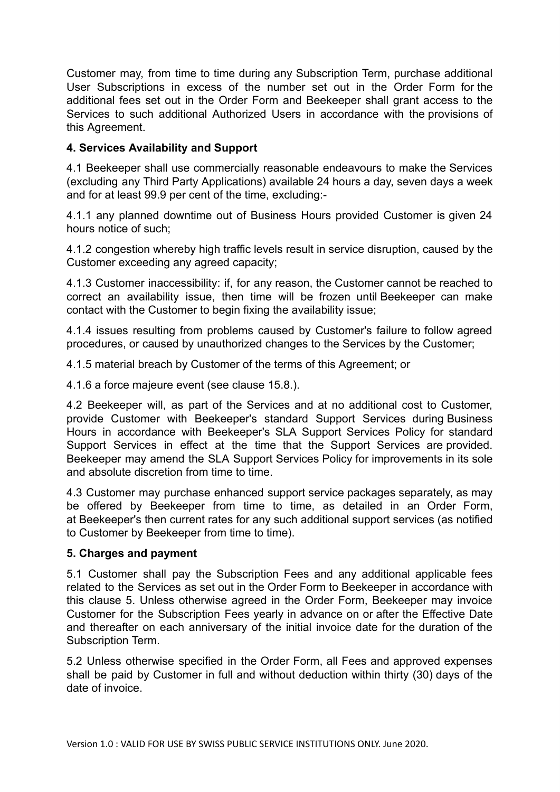Customer may, from time to time during any Subscription Term, purchase additional User Subscriptions in excess of the number set out in the Order Form for the additional fees set out in the Order Form and Beekeeper shall grant access to the Services to such additional Authorized Users in accordance with the provisions of this Agreement.

# **4. Services Availability and Support**

4.1 Beekeeper shall use commercially reasonable endeavours to make the Services (excluding any Third Party Applications) available 24 hours a day, seven days a week and for at least 99.9 per cent of the time, excluding:-

4.1.1 any planned downtime out of Business Hours provided Customer is given 24 hours notice of such;

4.1.2 congestion whereby high traffic levels result in service disruption, caused by the Customer exceeding any agreed capacity;

4.1.3 Customer inaccessibility: if, for any reason, the Customer cannot be reached to correct an availability issue, then time will be frozen until Beekeeper can make contact with the Customer to begin fixing the availability issue;

4.1.4 issues resulting from problems caused by Customer's failure to follow agreed procedures, or caused by unauthorized changes to the Services by the Customer;

4.1.5 material breach by Customer of the terms of this Agreement; or

4.1.6 a force majeure event (see clause 15.8.).

4.2 Beekeeper will, as part of the Services and at no additional cost to Customer, provide Customer with Beekeeper's standard Support Services during Business Hours in accordance with Beekeeper's SLA Support Services Policy for standard Support Services in effect at the time that the Support Services are provided. Beekeeper may amend the SLA Support Services Policy for improvements in its sole and absolute discretion from time to time.

4.3 Customer may purchase enhanced support service packages separately, as may be offered by Beekeeper from time to time, as detailed in an Order Form, at Beekeeper's then current rates for any such additional support services (as notified to Customer by Beekeeper from time to time).

# **5. Charges and payment**

5.1 Customer shall pay the Subscription Fees and any additional applicable fees related to the Services as set out in the Order Form to Beekeeper in accordance with this clause 5. Unless otherwise agreed in the Order Form, Beekeeper may invoice Customer for the Subscription Fees yearly in advance on or after the Effective Date and thereafter on each anniversary of the initial invoice date for the duration of the Subscription Term.

5.2 Unless otherwise specified in the Order Form, all Fees and approved expenses shall be paid by Customer in full and without deduction within thirty (30) days of the date of invoice.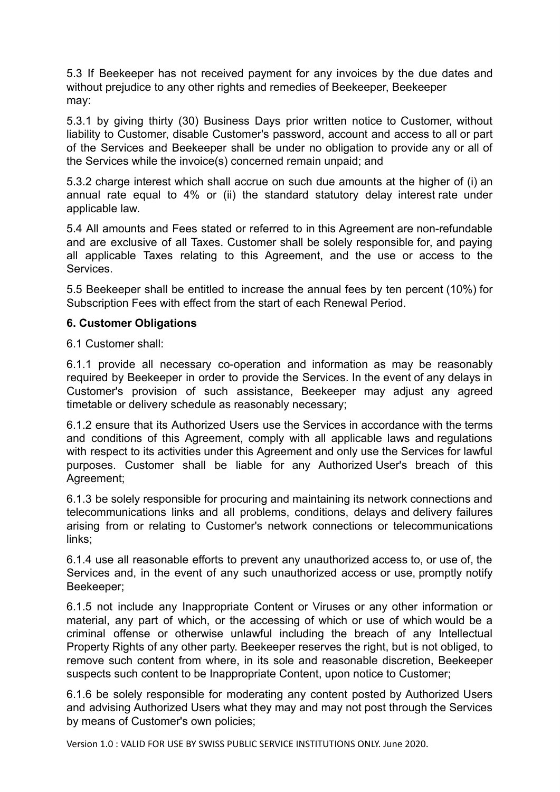5.3 If Beekeeper has not received payment for any invoices by the due dates and without prejudice to any other rights and remedies of Beekeeper, Beekeeper may:

5.3.1 by giving thirty (30) Business Days prior written notice to Customer, without liability to Customer, disable Customer's password, account and access to all or part of the Services and Beekeeper shall be under no obligation to provide any or all of the Services while the invoice(s) concerned remain unpaid; and

5.3.2 charge interest which shall accrue on such due amounts at the higher of (i) an annual rate equal to 4% or (ii) the standard statutory delay interest rate under applicable law.

5.4 All amounts and Fees stated or referred to in this Agreement are non-refundable and are exclusive of all Taxes. Customer shall be solely responsible for, and paying all applicable Taxes relating to this Agreement, and the use or access to the **Services** 

5.5 Beekeeper shall be entitled to increase the annual fees by ten percent (10%) for Subscription Fees with effect from the start of each Renewal Period.

### **6. Customer Obligations**

6.1 Customer shall:

6.1.1 provide all necessary co-operation and information as may be reasonably required by Beekeeper in order to provide the Services. In the event of any delays in Customer's provision of such assistance, Beekeeper may adjust any agreed timetable or delivery schedule as reasonably necessary;

6.1.2 ensure that its Authorized Users use the Services in accordance with the terms and conditions of this Agreement, comply with all applicable laws and regulations with respect to its activities under this Agreement and only use the Services for lawful purposes. Customer shall be liable for any Authorized User's breach of this Agreement;

6.1.3 be solely responsible for procuring and maintaining its network connections and telecommunications links and all problems, conditions, delays and delivery failures arising from or relating to Customer's network connections or telecommunications links;

6.1.4 use all reasonable efforts to prevent any unauthorized access to, or use of, the Services and, in the event of any such unauthorized access or use, promptly notify Beekeeper;

6.1.5 not include any Inappropriate Content or Viruses or any other information or material, any part of which, or the accessing of which or use of which would be a criminal offense or otherwise unlawful including the breach of any Intellectual Property Rights of any other party. Beekeeper reserves the right, but is not obliged, to remove such content from where, in its sole and reasonable discretion, Beekeeper suspects such content to be Inappropriate Content, upon notice to Customer;

6.1.6 be solely responsible for moderating any content posted by Authorized Users and advising Authorized Users what they may and may not post through the Services by means of Customer's own policies;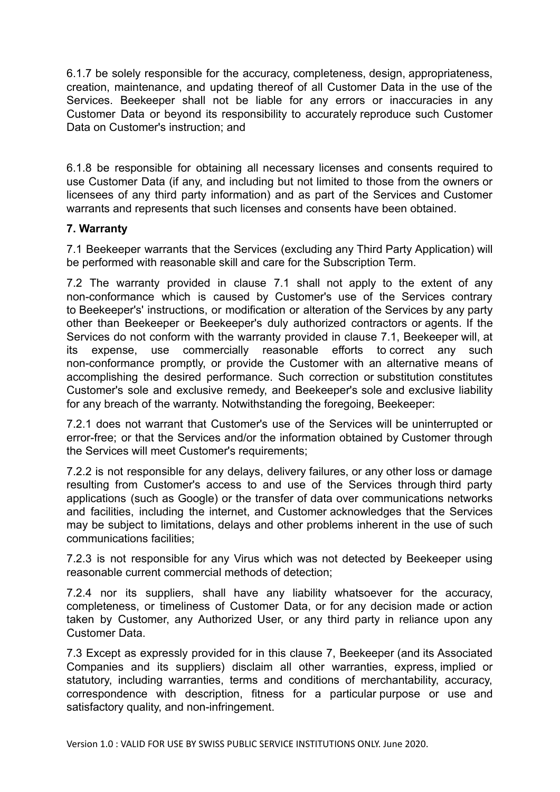6.1.7 be solely responsible for the accuracy, completeness, design, appropriateness, creation, maintenance, and updating thereof of all Customer Data in the use of the Services. Beekeeper shall not be liable for any errors or inaccuracies in any Customer Data or beyond its responsibility to accurately reproduce such Customer Data on Customer's instruction; and

6.1.8 be responsible for obtaining all necessary licenses and consents required to use Customer Data (if any, and including but not limited to those from the owners or licensees of any third party information) and as part of the Services and Customer warrants and represents that such licenses and consents have been obtained.

## **7. Warranty**

7.1 Beekeeper warrants that the Services (excluding any Third Party Application) will be performed with reasonable skill and care for the Subscription Term.

7.2 The warranty provided in clause 7.1 shall not apply to the extent of any non-conformance which is caused by Customer's use of the Services contrary to Beekeeper's' instructions, or modification or alteration of the Services by any party other than Beekeeper or Beekeeper's duly authorized contractors or agents. If the Services do not conform with the warranty provided in clause 7.1, Beekeeper will, at its expense, use commercially reasonable efforts to correct any such non-conformance promptly, or provide the Customer with an alternative means of accomplishing the desired performance. Such correction or substitution constitutes Customer's sole and exclusive remedy, and Beekeeper's sole and exclusive liability for any breach of the warranty. Notwithstanding the foregoing, Beekeeper:

7.2.1 does not warrant that Customer's use of the Services will be uninterrupted or error-free; or that the Services and/or the information obtained by Customer through the Services will meet Customer's requirements;

7.2.2 is not responsible for any delays, delivery failures, or any other loss or damage resulting from Customer's access to and use of the Services through third party applications (such as Google) or the transfer of data over communications networks and facilities, including the internet, and Customer acknowledges that the Services may be subject to limitations, delays and other problems inherent in the use of such communications facilities;

7.2.3 is not responsible for any Virus which was not detected by Beekeeper using reasonable current commercial methods of detection;

7.2.4 nor its suppliers, shall have any liability whatsoever for the accuracy, completeness, or timeliness of Customer Data, or for any decision made or action taken by Customer, any Authorized User, or any third party in reliance upon any Customer Data.

7.3 Except as expressly provided for in this clause 7, Beekeeper (and its Associated Companies and its suppliers) disclaim all other warranties, express, implied or statutory, including warranties, terms and conditions of merchantability, accuracy, correspondence with description, fitness for a particular purpose or use and satisfactory quality, and non-infringement.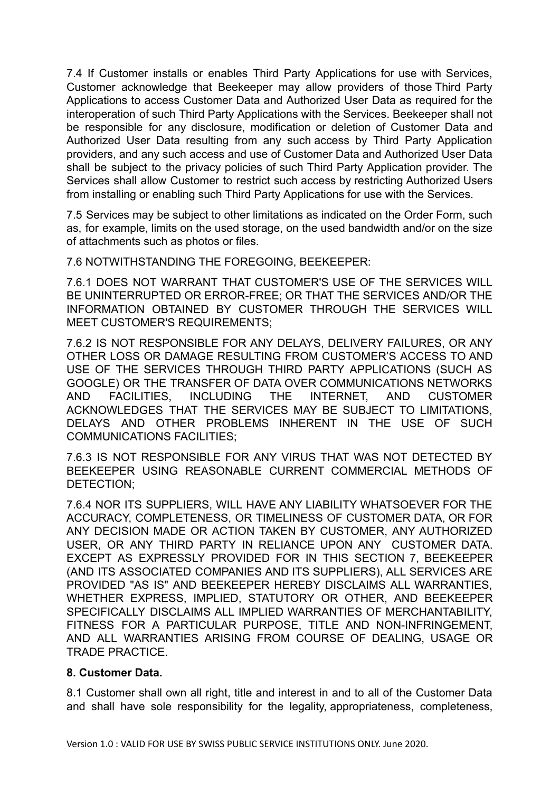7.4 If Customer installs or enables Third Party Applications for use with Services, Customer acknowledge that Beekeeper may allow providers of those Third Party Applications to access Customer Data and Authorized User Data as required for the interoperation of such Third Party Applications with the Services. Beekeeper shall not be responsible for any disclosure, modification or deletion of Customer Data and Authorized User Data resulting from any such access by Third Party Application providers, and any such access and use of Customer Data and Authorized User Data shall be subject to the privacy policies of such Third Party Application provider. The Services shall allow Customer to restrict such access by restricting Authorized Users from installing or enabling such Third Party Applications for use with the Services.

7.5 Services may be subject to other limitations as indicated on the Order Form, such as, for example, limits on the used storage, on the used bandwidth and/or on the size of attachments such as photos or files.

7.6 NOTWITHSTANDING THE FOREGOING, BEEKEEPER:

7.6.1 DOES NOT WARRANT THAT CUSTOMER'S USE OF THE SERVICES WILL BE UNINTERRUPTED OR ERROR-FREE; OR THAT THE SERVICES AND/OR THE INFORMATION OBTAINED BY CUSTOMER THROUGH THE SERVICES WILL MEET CUSTOMER'S REQUIREMENTS;

7.6.2 IS NOT RESPONSIBLE FOR ANY DELAYS, DELIVERY FAILURES, OR ANY OTHER LOSS OR DAMAGE RESULTING FROM CUSTOMER'S ACCESS TO AND USE OF THE SERVICES THROUGH THIRD PARTY APPLICATIONS (SUCH AS GOOGLE) OR THE TRANSFER OF DATA OVER COMMUNICATIONS NETWORKS AND FACILITIES, INCLUDING THE INTERNET, AND CUSTOMER ACKNOWLEDGES THAT THE SERVICES MAY BE SUBJECT TO LIMITATIONS, DELAYS AND OTHER PROBLEMS INHERENT IN THE USE OF SUCH COMMUNICATIONS FACILITIES;

7.6.3 IS NOT RESPONSIBLE FOR ANY VIRUS THAT WAS NOT DETECTED BY BEEKEEPER USING REASONABLE CURRENT COMMERCIAL METHODS OF DETECTION;

7.6.4 NOR ITS SUPPLIERS, WILL HAVE ANY LIABILITY WHATSOEVER FOR THE ACCURACY, COMPLETENESS, OR TIMELINESS OF CUSTOMER DATA, OR FOR ANY DECISION MADE OR ACTION TAKEN BY CUSTOMER, ANY AUTHORIZED USER, OR ANY THIRD PARTY IN RELIANCE UPON ANY CUSTOMER DATA. EXCEPT AS EXPRESSLY PROVIDED FOR IN THIS SECTION 7, BEEKEEPER (AND ITS ASSOCIATED COMPANIES AND ITS SUPPLIERS), ALL SERVICES ARE PROVIDED "AS IS" AND BEEKEEPER HEREBY DISCLAIMS ALL WARRANTIES, WHETHER EXPRESS, IMPLIED, STATUTORY OR OTHER, AND BEEKEEPER SPECIFICALLY DISCLAIMS ALL IMPLIED WARRANTIES OF MERCHANTABILITY, FITNESS FOR A PARTICULAR PURPOSE, TITLE AND NON-INFRINGEMENT, AND ALL WARRANTIES ARISING FROM COURSE OF DEALING, USAGE OR TRADE PRACTICE.

### **8. Customer Data.**

8.1 Customer shall own all right, title and interest in and to all of the Customer Data and shall have sole responsibility for the legality, appropriateness, completeness,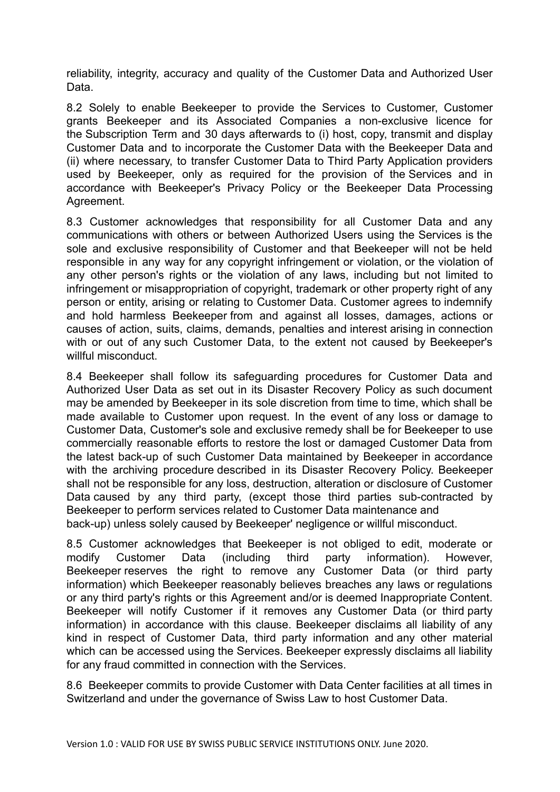reliability, integrity, accuracy and quality of the Customer Data and Authorized User Data.

8.2 Solely to enable Beekeeper to provide the Services to Customer, Customer grants Beekeeper and its Associated Companies a non-exclusive licence for the Subscription Term and 30 days afterwards to (i) host, copy, transmit and display Customer Data and to incorporate the Customer Data with the Beekeeper Data and (ii) where necessary, to transfer Customer Data to Third Party Application providers used by Beekeeper, only as required for the provision of the Services and in accordance with Beekeeper's Privacy Policy or the Beekeeper Data Processing Agreement.

8.3 Customer acknowledges that responsibility for all Customer Data and any communications with others or between Authorized Users using the Services is the sole and exclusive responsibility of Customer and that Beekeeper will not be held responsible in any way for any copyright infringement or violation, or the violation of any other person's rights or the violation of any laws, including but not limited to infringement or misappropriation of copyright, trademark or other property right of any person or entity, arising or relating to Customer Data. Customer agrees to indemnify and hold harmless Beekeeper from and against all losses, damages, actions or causes of action, suits, claims, demands, penalties and interest arising in connection with or out of any such Customer Data, to the extent not caused by Beekeeper's willful misconduct.

8.4 Beekeeper shall follow its safeguarding procedures for Customer Data and Authorized User Data as set out in its Disaster Recovery Policy as such document may be amended by Beekeeper in its sole discretion from time to time, which shall be made available to Customer upon request. In the event of any loss or damage to Customer Data, Customer's sole and exclusive remedy shall be for Beekeeper to use commercially reasonable efforts to restore the lost or damaged Customer Data from the latest back-up of such Customer Data maintained by Beekeeper in accordance with the archiving procedure described in its Disaster Recovery Policy. Beekeeper shall not be responsible for any loss, destruction, alteration or disclosure of Customer Data caused by any third party, (except those third parties sub-contracted by Beekeeper to perform services related to Customer Data maintenance and

back-up) unless solely caused by Beekeeper' negligence or willful misconduct.

8.5 Customer acknowledges that Beekeeper is not obliged to edit, moderate or modify Customer Data (including third party information). However, Beekeeper reserves the right to remove any Customer Data (or third party information) which Beekeeper reasonably believes breaches any laws or regulations or any third party's rights or this Agreement and/or is deemed Inappropriate Content. Beekeeper will notify Customer if it removes any Customer Data (or third party information) in accordance with this clause. Beekeeper disclaims all liability of any kind in respect of Customer Data, third party information and any other material which can be accessed using the Services. Beekeeper expressly disclaims all liability for any fraud committed in connection with the Services.

8.6 Beekeeper commits to provide Customer with Data Center facilities at all times in Switzerland and under the governance of Swiss Law to host Customer Data.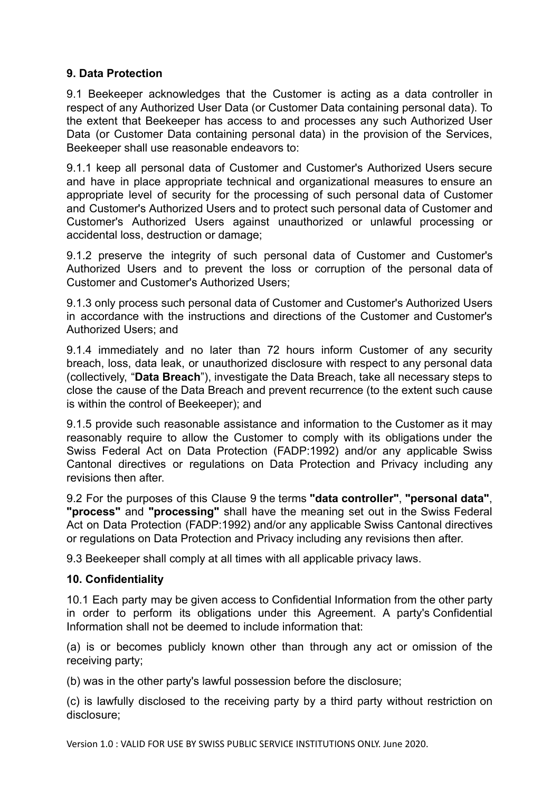# **9. Data Protection**

9.1 Beekeeper acknowledges that the Customer is acting as a data controller in respect of any Authorized User Data (or Customer Data containing personal data). To the extent that Beekeeper has access to and processes any such Authorized User Data (or Customer Data containing personal data) in the provision of the Services, Beekeeper shall use reasonable endeavors to:

9.1.1 keep all personal data of Customer and Customer's Authorized Users secure and have in place appropriate technical and organizational measures to ensure an appropriate level of security for the processing of such personal data of Customer and Customer's Authorized Users and to protect such personal data of Customer and Customer's Authorized Users against unauthorized or unlawful processing or accidental loss, destruction or damage;

9.1.2 preserve the integrity of such personal data of Customer and Customer's Authorized Users and to prevent the loss or corruption of the personal data of Customer and Customer's Authorized Users;

9.1.3 only process such personal data of Customer and Customer's Authorized Users in accordance with the instructions and directions of the Customer and Customer's Authorized Users; and

9.1.4 immediately and no later than 72 hours inform Customer of any security breach, loss, data leak, or unauthorized disclosure with respect to any personal data (collectively, " **Data Breach** "), investigate the Data Breach, take all necessary steps to close the cause of the Data Breach and prevent recurrence (to the extent such cause is within the control of Beekeeper); and

9.1.5 provide such reasonable assistance and information to the Customer as it may reasonably require to allow the Customer to comply with its obligations under the Swiss Federal Act on Data Protection (FADP:1992) and/or any applicable Swiss Cantonal directives or regulations on Data Protection and Privacy including any revisions then after.

9.2 For the purposes of this Clause 9 the terms **"data controller"** , **"personal data"** , **"process"** and **"processing"** shall have the meaning set out in the Swiss Federal Act on Data Protection (FADP:1992) and/or any applicable Swiss Cantonal directives or regulations on Data Protection and Privacy including any revisions then after.

9.3 Beekeeper shall comply at all times with all applicable privacy laws.

# **10. Confidentiality**

10.1 Each party may be given access to Confidential Information from the other party in order to perform its obligations under this Agreement. A party's Confidential Information shall not be deemed to include information that:

(a) is or becomes publicly known other than through any act or omission of the receiving party;

(b) was in the other party's lawful possession before the disclosure;

(c) is lawfully disclosed to the receiving party by a third party without restriction on disclosure;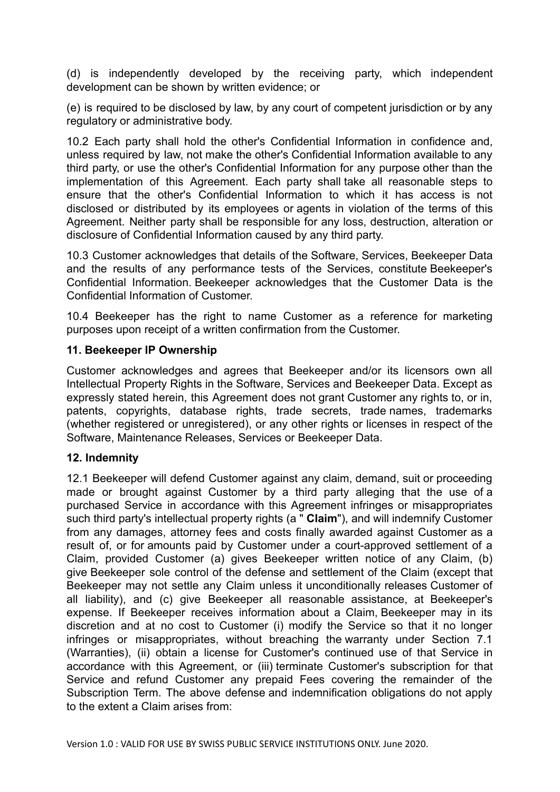(d) is independently developed by the receiving party, which independent development can be shown by written evidence; or

(e) is required to be disclosed by law, by any court of competent jurisdiction or by any regulatory or administrative body.

10.2 Each party shall hold the other's Confidential Information in confidence and, unless required by law, not make the other's Confidential Information available to any third party, or use the other's Confidential Information for any purpose other than the implementation of this Agreement. Each party shall take all reasonable steps to ensure that the other's Confidential Information to which it has access is not disclosed or distributed by its employees or agents in violation of the terms of this Agreement. Neither party shall be responsible for any loss, destruction, alteration or disclosure of Confidential Information caused by any third party.

10.3 Customer acknowledges that details of the Software, Services, Beekeeper Data and the results of any performance tests of the Services, constitute Beekeeper's Confidential Information. Beekeeper acknowledges that the Customer Data is the Confidential Information of Customer.

10.4 Beekeeper has the right to name Customer as a reference for marketing purposes upon receipt of a written confirmation from the Customer.

## **11. Beekeeper IP Ownership**

Customer acknowledges and agrees that Beekeeper and/or its licensors own all Intellectual Property Rights in the Software, Services and Beekeeper Data. Except as expressly stated herein, this Agreement does not grant Customer any rights to, or in, patents, copyrights, database rights, trade secrets, trade names, trademarks (whether registered or unregistered), or any other rights or licenses in respect of the Software, Maintenance Releases, Services or Beekeeper Data.

# **12. Indemnity**

12.1 Beekeeper will defend Customer against any claim, demand, suit or proceeding made or brought against Customer by a third party alleging that the use of a purchased Service in accordance with this Agreement infringes or misappropriates such third party's intellectual property rights (a " **Claim** "), and will indemnify Customer from any damages, attorney fees and costs finally awarded against Customer as a result of, or for amounts paid by Customer under a court-approved settlement of a Claim, provided Customer (a) gives Beekeeper written notice of any Claim, (b) give Beekeeper sole control of the defense and settlement of the Claim (except that Beekeeper may not settle any Claim unless it unconditionally releases Customer of all liability), and (c) give Beekeeper all reasonable assistance, at Beekeeper's expense. If Beekeeper receives information about a Claim, Beekeeper may in its discretion and at no cost to Customer (i) modify the Service so that it no longer infringes or misappropriates, without breaching the warranty under Section 7.1 (Warranties), (ii) obtain a license for Customer's continued use of that Service in accordance with this Agreement, or (iii) terminate Customer's subscription for that Service and refund Customer any prepaid Fees covering the remainder of the Subscription Term. The above defense and indemnification obligations do not apply to the extent a Claim arises from: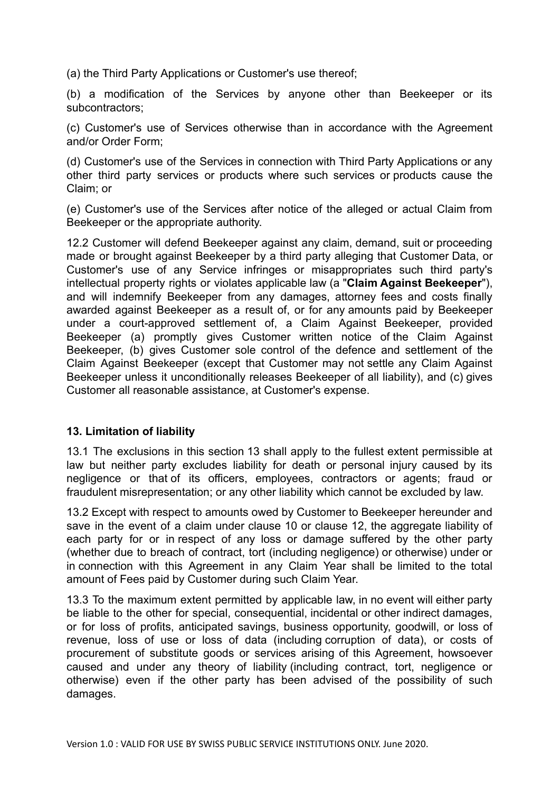(a) the Third Party Applications or Customer's use thereof;

(b) a modification of the Services by anyone other than Beekeeper or its subcontractors;

(c) Customer's use of Services otherwise than in accordance with the Agreement and/or Order Form;

(d) Customer's use of the Services in connection with Third Party Applications or any other third party services or products where such services or products cause the Claim; or

(e) Customer's use of the Services after notice of the alleged or actual Claim from Beekeeper or the appropriate authority.

12.2 Customer will defend Beekeeper against any claim, demand, suit or proceeding made or brought against Beekeeper by a third party alleging that Customer Data, or Customer's use of any Service infringes or misappropriates such third party's intellectual property rights or violates applicable law (a "Claim Against Beekeeper"), and will indemnify Beekeeper from any damages, attorney fees and costs finally awarded against Beekeeper as a result of, or for any amounts paid by Beekeeper under a court-approved settlement of, a Claim Against Beekeeper, provided Beekeeper (a) promptly gives Customer written notice of the Claim Against Beekeeper, (b) gives Customer sole control of the defence and settlement of the Claim Against Beekeeper (except that Customer may not settle any Claim Against Beekeeper unless it unconditionally releases Beekeeper of all liability), and (c) gives Customer all reasonable assistance, at Customer's expense.

### **13. Limitation of liability**

13.1 The exclusions in this section 13 shall apply to the fullest extent permissible at law but neither party excludes liability for death or personal injury caused by its negligence or that of its officers, employees, contractors or agents; fraud or fraudulent misrepresentation; or any other liability which cannot be excluded by law.

13.2 Except with respect to amounts owed by Customer to Beekeeper hereunder and save in the event of a claim under clause 10 or clause 12, the aggregate liability of each party for or in respect of any loss or damage suffered by the other party (whether due to breach of contract, tort (including negligence) or otherwise) under or in connection with this Agreement in any Claim Year shall be limited to the total amount of Fees paid by Customer during such Claim Year.

13.3 To the maximum extent permitted by applicable law, in no event will either party be liable to the other for special, consequential, incidental or other indirect damages, or for loss of profits, anticipated savings, business opportunity, goodwill, or loss of revenue, loss of use or loss of data (including corruption of data), or costs of procurement of substitute goods or services arising of this Agreement, howsoever caused and under any theory of liability (including contract, tort, negligence or otherwise) even if the other party has been advised of the possibility of such damages.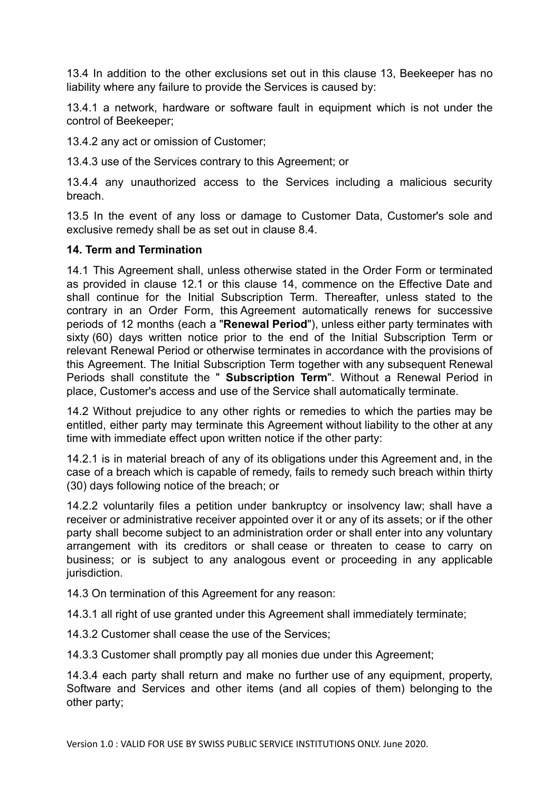13.4 In addition to the other exclusions set out in this clause 13, Beekeeper has no liability where any failure to provide the Services is caused by:

13.4.1 a network, hardware or software fault in equipment which is not under the control of Beekeeper;

13.4.2 any act or omission of Customer;

13.4.3 use of the Services contrary to this Agreement; or

13.4.4 any unauthorized access to the Services including a malicious security breach.

13.5 In the event of any loss or damage to Customer Data, Customer's sole and exclusive remedy shall be as set out in clause 8.4.

### **14. Term and Termination**

14.1 This Agreement shall, unless otherwise stated in the Order Form or terminated as provided in clause 12.1 or this clause 14, commence on the Effective Date and shall continue for the Initial Subscription Term. Thereafter, unless stated to the contrary in an Order Form, this Agreement automatically renews for successive periods of 12 months (each a " **Renewal Period** "), unless either party terminates with sixty (60) days written notice prior to the end of the Initial Subscription Term or relevant Renewal Period or otherwise terminates in accordance with the provisions of this Agreement. The Initial Subscription Term together with any subsequent Renewal Periods shall constitute the " **Subscription Term** ". Without a Renewal Period in place, Customer's access and use of the Service shall automatically terminate.

14.2 Without prejudice to any other rights or remedies to which the parties may be entitled, either party may terminate this Agreement without liability to the other at any time with immediate effect upon written notice if the other party:

14.2.1 is in material breach of any of its obligations under this Agreement and, in the case of a breach which is capable of remedy, fails to remedy such breach within thirty (30) days following notice of the breach; or

14.2.2 voluntarily files a petition under bankruptcy or insolvency law; shall have a receiver or administrative receiver appointed over it or any of its assets; or if the other party shall become subject to an administration order or shall enter into any voluntary arrangement with its creditors or shall cease or threaten to cease to carry on business; or is subject to any analogous event or proceeding in any applicable jurisdiction.

14.3 On termination of this Agreement for any reason:

14.3.1 all right of use granted under this Agreement shall immediately terminate;

14.3.2 Customer shall cease the use of the Services;

14.3.3 Customer shall promptly pay all monies due under this Agreement;

14.3.4 each party shall return and make no further use of any equipment, property, Software and Services and other items (and all copies of them) belonging to the other party;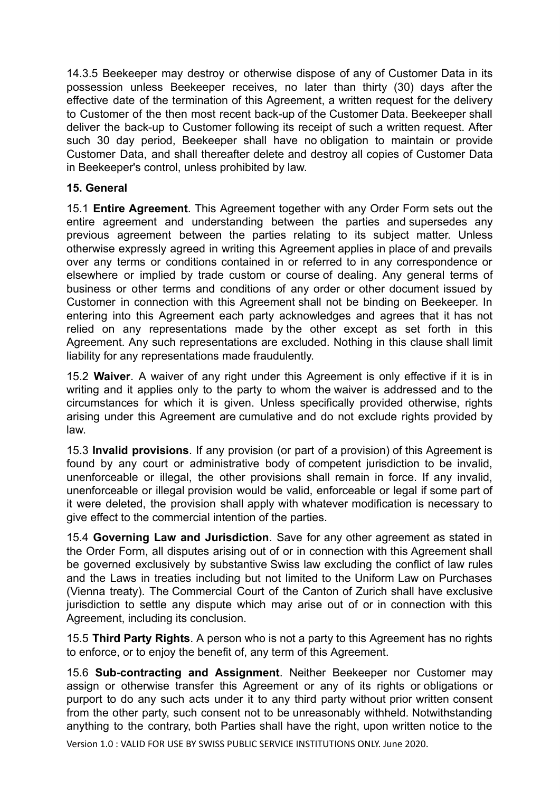14.3.5 Beekeeper may destroy or otherwise dispose of any of Customer Data in its possession unless Beekeeper receives, no later than thirty (30) days after the effective date of the termination of this Agreement, a written request for the delivery to Customer of the then most recent back-up of the Customer Data. Beekeeper shall deliver the back-up to Customer following its receipt of such a written request. After such 30 day period, Beekeeper shall have no obligation to maintain or provide Customer Data, and shall thereafter delete and destroy all copies of Customer Data in Beekeeper's control, unless prohibited by law.

# **15. General**

15.1 **Entire Agreement**. This Agreement together with any Order Form sets out the entire agreement and understanding between the parties and supersedes any previous agreement between the parties relating to its subject matter. Unless otherwise expressly agreed in writing this Agreement applies in place of and prevails over any terms or conditions contained in or referred to in any correspondence or elsewhere or implied by trade custom or course of dealing. Any general terms of business or other terms and conditions of any order or other document issued by Customer in connection with this Agreement shall not be binding on Beekeeper. In entering into this Agreement each party acknowledges and agrees that it has not relied on any representations made by the other except as set forth in this Agreement. Any such representations are excluded. Nothing in this clause shall limit liability for any representations made fraudulently.

15.2 **Waiver** . A waiver of any right under this Agreement is only effective if it is in writing and it applies only to the party to whom the waiver is addressed and to the circumstances for which it is given. Unless specifically provided otherwise, rights arising under this Agreement are cumulative and do not exclude rights provided by law.

15.3 **Invalid provisions** . If any provision (or part of a provision) of this Agreement is found by any court or administrative body of competent jurisdiction to be invalid, unenforceable or illegal, the other provisions shall remain in force. If any invalid, unenforceable or illegal provision would be valid, enforceable or legal if some part of it were deleted, the provision shall apply with whatever modification is necessary to give effect to the commercial intention of the parties.

15.4 **Governing Law and Jurisdiction** . Save for any other agreement as stated in the Order Form, all disputes arising out of or in connection with this Agreement shall be governed exclusively by substantive Swiss law excluding the conflict of law rules and the Laws in treaties including but not limited to the Uniform Law on Purchases (Vienna treaty). The Commercial Court of the Canton of Zurich shall have exclusive jurisdiction to settle any dispute which may arise out of or in connection with this Agreement, including its conclusion.

15.5 **Third Party Rights** . A person who is not a party to this Agreement has no rights to enforce, or to enjoy the benefit of, any term of this Agreement.

15.6 **Sub-contracting and Assignment** . Neither Beekeeper nor Customer may assign or otherwise transfer this Agreement or any of its rights or obligations or purport to do any such acts under it to any third party without prior written consent from the other party, such consent not to be unreasonably withheld. Notwithstanding anything to the contrary, both Parties shall have the right, upon written notice to the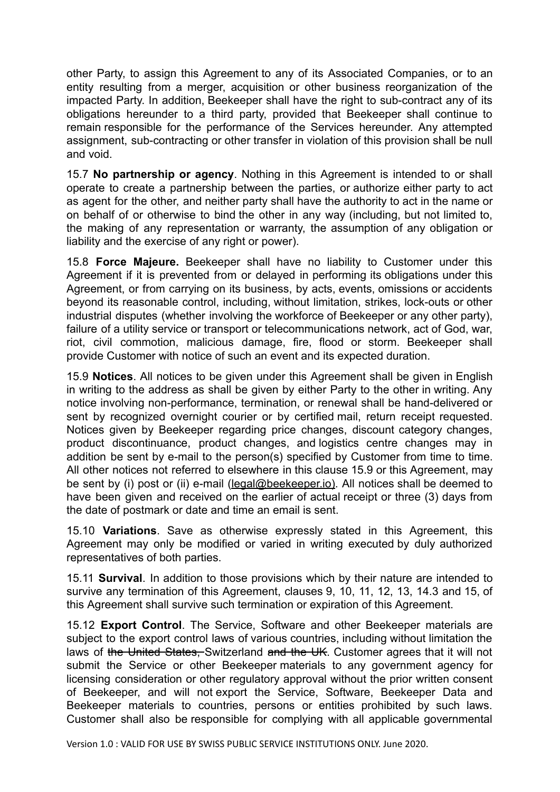other Party, to assign this Agreement to any of its Associated Companies, or to an entity resulting from a merger, acquisition or other business reorganization of the impacted Party. In addition, Beekeeper shall have the right to sub-contract any of its obligations hereunder to a third party, provided that Beekeeper shall continue to remain responsible for the performance of the Services hereunder. Any attempted assignment, sub-contracting or other transfer in violation of this provision shall be null and void.

15.7 **No partnership or agency** . Nothing in this Agreement is intended to or shall operate to create a partnership between the parties, or authorize either party to act as agent for the other, and neither party shall have the authority to act in the name or on behalf of or otherwise to bind the other in any way (including, but not limited to, the making of any representation or warranty, the assumption of any obligation or liability and the exercise of any right or power).

15.8 **Force Majeure.** Beekeeper shall have no liability to Customer under this Agreement if it is prevented from or delayed in performing its obligations under this Agreement, or from carrying on its business, by acts, events, omissions or accidents beyond its reasonable control, including, without limitation, strikes, lock-outs or other industrial disputes (whether involving the workforce of Beekeeper or any other party), failure of a utility service or transport or telecommunications network, act of God, war, riot, civil commotion, malicious damage, fire, flood or storm. Beekeeper shall provide Customer with notice of such an event and its expected duration.

15.9 **Notices** . All notices to be given under this Agreement shall be given in English in writing to the address as shall be given by either Party to the other in writing. Any notice involving non-performance, termination, or renewal shall be hand-delivered or sent by recognized overnight courier or by certified mail, return receipt requested. Notices given by Beekeeper regarding price changes, discount category changes, product discontinuance, product changes, and logistics centre changes may in addition be sent by e-mail to the person(s) specified by Customer from time to time. All other notices not referred to elsewhere in this clause 15.9 or this Agreement, may be sent by (i) post or (ii) e-mail (legal@beekeeper.io). All notices shall be deemed to have been given and received on the earlier of actual receipt or three (3) days from the date of postmark or date and time an email is sent.

15.10 **Variations** . Save as otherwise expressly stated in this Agreement, this Agreement may only be modified or varied in writing executed by duly authorized representatives of both parties.

15.11 **Survival** . In addition to those provisions which by their nature are intended to survive any termination of this Agreement, clauses 9, 10, 11, 12, 13, 14.3 and 15, of this Agreement shall survive such termination or expiration of this Agreement.

15.12 **Export Control**. The Service, Software and other Beekeeper materials are subject to the export control laws of various countries, including without limitation the laws of the United States, Switzerland and the UK. Customer agrees that it will not submit the Service or other Beekeeper materials to any government agency for licensing consideration or other regulatory approval without the prior written consent of Beekeeper, and will not export the Service, Software, Beekeeper Data and Beekeeper materials to countries, persons or entities prohibited by such laws. Customer shall also be responsible for complying with all applicable governmental